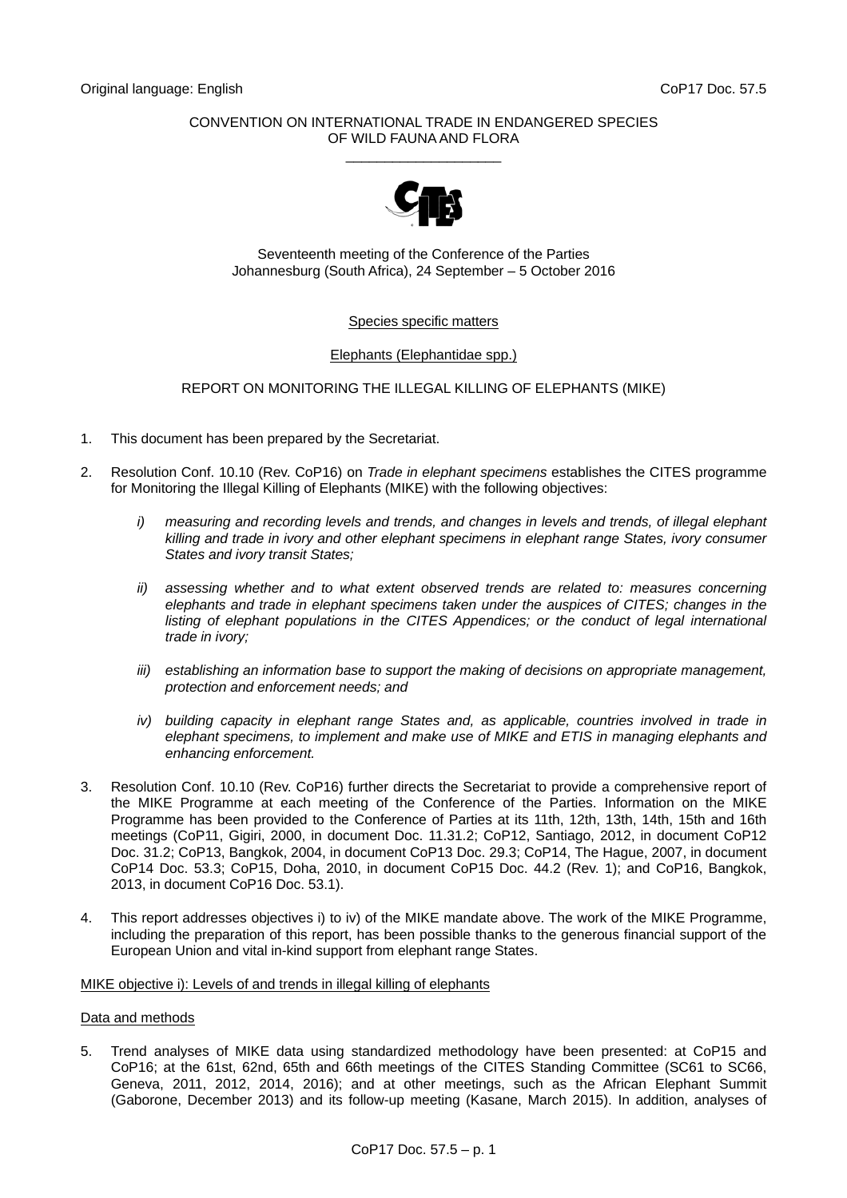## CONVENTION ON INTERNATIONAL TRADE IN ENDANGERED SPECIES OF WILD FAUNA AND FLORA \_\_\_\_\_\_\_\_\_\_\_\_\_\_\_\_\_\_\_\_



Seventeenth meeting of the Conference of the Parties Johannesburg (South Africa), 24 September – 5 October 2016

# Species specific matters

# Elephants (Elephantidae spp.)

# REPORT ON MONITORING THE ILLEGAL KILLING OF ELEPHANTS (MIKE)

- 1. This document has been prepared by the Secretariat.
- 2. Resolution Conf. 10.10 (Rev. CoP16) on *Trade in elephant specimens* establishes the CITES programme for Monitoring the Illegal Killing of Elephants (MIKE) with the following objectives:
	- *i) measuring and recording levels and trends, and changes in levels and trends, of illegal elephant killing and trade in ivory and other elephant specimens in elephant range States, ivory consumer States and ivory transit States;*
	- *ii) assessing whether and to what extent observed trends are related to: measures concerning elephants and trade in elephant specimens taken under the auspices of CITES; changes in the*  listing of elephant populations in the CITES Appendices; or the conduct of legal international *trade in ivory;*
	- *iii) establishing an information base to support the making of decisions on appropriate management, protection and enforcement needs; and*
	- *iv*) *building capacity in elephant range States and, as applicable, countries involved in trade in elephant specimens, to implement and make use of MIKE and ETIS in managing elephants and enhancing enforcement.*
- 3. Resolution Conf. 10.10 (Rev. CoP16) further directs the Secretariat to provide a comprehensive report of the MIKE Programme at each meeting of the Conference of the Parties. Information on the MIKE Programme has been provided to the Conference of Parties at its 11th, 12th, 13th, 14th, 15th and 16th meetings (CoP11, Gigiri, 2000, in document Doc. 11.31.2; CoP12, Santiago, 2012, in document CoP12 Doc. 31.2; CoP13, Bangkok, 2004, in document CoP13 Doc. 29.3; CoP14, The Hague, 2007, in document CoP14 Doc. 53.3; CoP15, Doha, 2010, in document CoP15 Doc. 44.2 (Rev. 1); and CoP16, Bangkok, 2013, in document CoP16 Doc. 53.1).
- 4. This report addresses objectives i) to iv) of the MIKE mandate above. The work of the MIKE Programme, including the preparation of this report, has been possible thanks to the generous financial support of the European Union and vital in-kind support from elephant range States.

## MIKE objective i): Levels of and trends in illegal killing of elephants

### Data and methods

5. Trend analyses of MIKE data using standardized methodology have been presented: at CoP15 and CoP16; at the 61st, 62nd, 65th and 66th meetings of the CITES Standing Committee (SC61 to SC66, Geneva, 2011, 2012, 2014, 2016); and at other meetings, such as the African Elephant Summit (Gaborone, December 2013) and its follow-up meeting (Kasane, March 2015). In addition, analyses of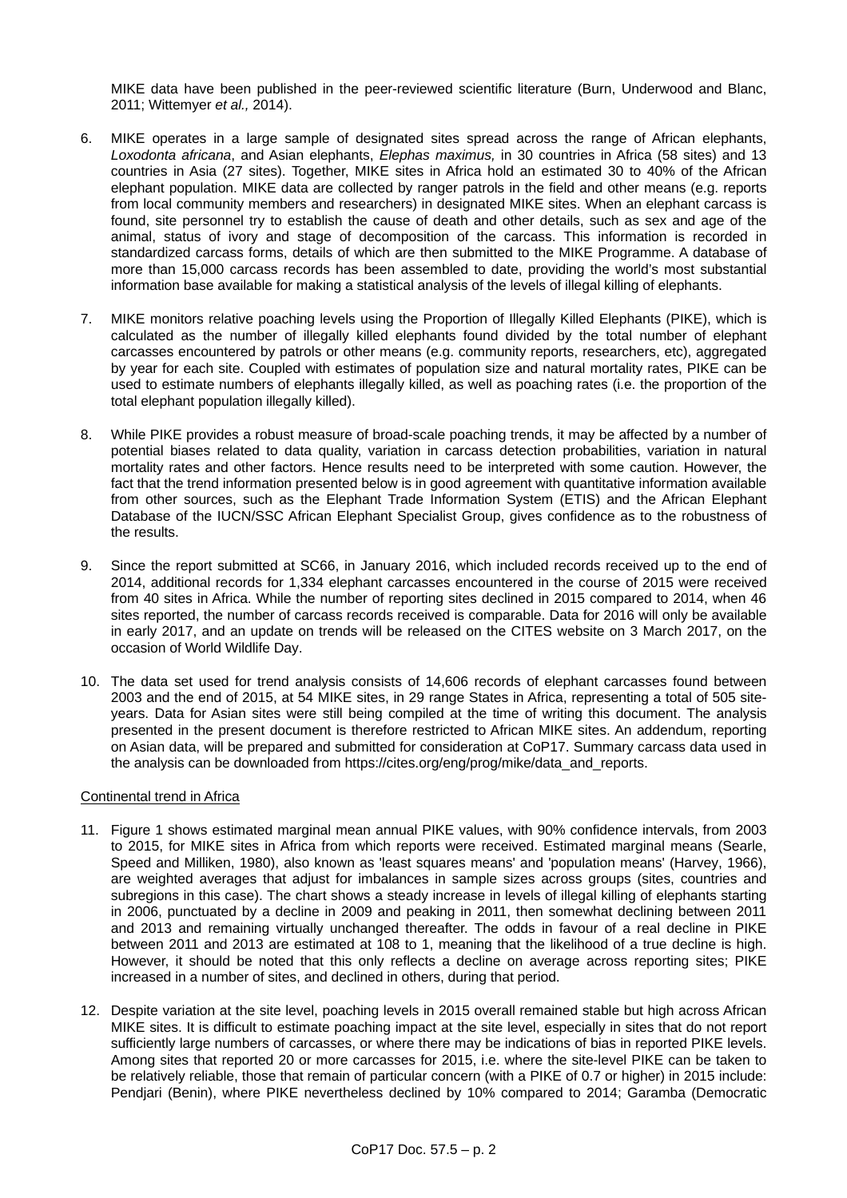MIKE data have been published in the peer-reviewed scientific literature (Burn, Underwood and Blanc, 2011; Wittemyer *et al.,* 2014).

- 6. MIKE operates in a large sample of designated sites spread across the range of African elephants, *Loxodonta africana*, and Asian elephants, *Elephas maximus,* in 30 countries in Africa (58 sites) and 13 countries in Asia (27 sites). Together, MIKE sites in Africa hold an estimated 30 to 40% of the African elephant population. MIKE data are collected by ranger patrols in the field and other means (e.g. reports from local community members and researchers) in designated MIKE sites. When an elephant carcass is found, site personnel try to establish the cause of death and other details, such as sex and age of the animal, status of ivory and stage of decomposition of the carcass. This information is recorded in standardized carcass forms, details of which are then submitted to the MIKE Programme. A database of more than 15,000 carcass records has been assembled to date, providing the world's most substantial information base available for making a statistical analysis of the levels of illegal killing of elephants.
- 7. MIKE monitors relative poaching levels using the Proportion of Illegally Killed Elephants (PIKE), which is calculated as the number of illegally killed elephants found divided by the total number of elephant carcasses encountered by patrols or other means (e.g. community reports, researchers, etc), aggregated by year for each site. Coupled with estimates of population size and natural mortality rates, PIKE can be used to estimate numbers of elephants illegally killed, as well as poaching rates (i.e. the proportion of the total elephant population illegally killed).
- 8. While PIKE provides a robust measure of broad-scale poaching trends, it may be affected by a number of potential biases related to data quality, variation in carcass detection probabilities, variation in natural mortality rates and other factors. Hence results need to be interpreted with some caution. However, the fact that the trend information presented below is in good agreement with quantitative information available from other sources, such as the Elephant Trade Information System (ETIS) and the African Elephant Database of the IUCN/SSC African Elephant Specialist Group, gives confidence as to the robustness of the results.
- 9. Since the report submitted at SC66, in January 2016, which included records received up to the end of 2014, additional records for 1,334 elephant carcasses encountered in the course of 2015 were received from 40 sites in Africa. While the number of reporting sites declined in 2015 compared to 2014, when 46 sites reported, the number of carcass records received is comparable. Data for 2016 will only be available in early 2017, and an update on trends will be released on the CITES website on 3 March 2017, on the occasion of World Wildlife Day.
- 10. The data set used for trend analysis consists of 14,606 records of elephant carcasses found between 2003 and the end of 2015, at 54 MIKE sites, in 29 range States in Africa, representing a total of 505 siteyears. Data for Asian sites were still being compiled at the time of writing this document. The analysis presented in the present document is therefore restricted to African MIKE sites. An addendum, reporting on Asian data, will be prepared and submitted for consideration at CoP17. Summary carcass data used in the analysis can be downloaded from https://cites.org/eng/prog/mike/data\_and\_reports.

### Continental trend in Africa

- 11. Figure 1 shows estimated marginal mean annual PIKE values, with 90% confidence intervals, from 2003 to 2015, for MIKE sites in Africa from which reports were received. Estimated marginal means (Searle, Speed and Milliken, 1980), also known as 'least squares means' and 'population means' (Harvey, 1966), are weighted averages that adjust for imbalances in sample sizes across groups (sites, countries and subregions in this case). The chart shows a steady increase in levels of illegal killing of elephants starting in 2006, punctuated by a decline in 2009 and peaking in 2011, then somewhat declining between 2011 and 2013 and remaining virtually unchanged thereafter. The odds in favour of a real decline in PIKE between 2011 and 2013 are estimated at 108 to 1, meaning that the likelihood of a true decline is high. However, it should be noted that this only reflects a decline on average across reporting sites; PIKE increased in a number of sites, and declined in others, during that period.
- 12. Despite variation at the site level, poaching levels in 2015 overall remained stable but high across African MIKE sites. It is difficult to estimate poaching impact at the site level, especially in sites that do not report sufficiently large numbers of carcasses, or where there may be indications of bias in reported PIKE levels. Among sites that reported 20 or more carcasses for 2015, i.e. where the site-level PIKE can be taken to be relatively reliable, those that remain of particular concern (with a PIKE of 0.7 or higher) in 2015 include: Pendjari (Benin), where PIKE nevertheless declined by 10% compared to 2014; Garamba (Democratic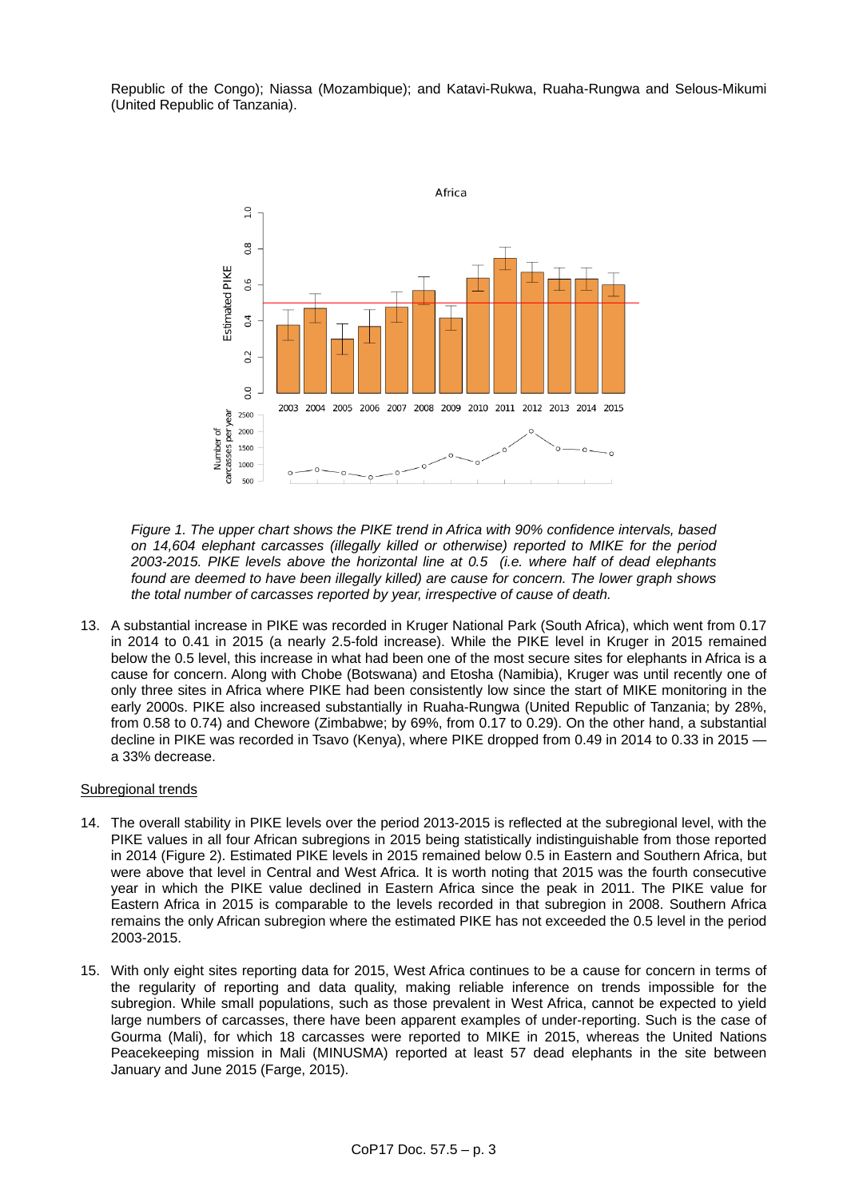Republic of the Congo); Niassa (Mozambique); and Katavi-Rukwa, Ruaha-Rungwa and Selous-Mikumi (United Republic of Tanzania).



*Figure 1. The upper chart shows the PIKE trend in Africa with 90% confidence intervals, based on 14,604 elephant carcasses (illegally killed or otherwise) reported to MIKE for the period 2003-2015. PIKE levels above the horizontal line at 0.5 (i.e. where half of dead elephants found are deemed to have been illegally killed) are cause for concern. The lower graph shows the total number of carcasses reported by year, irrespective of cause of death.* 

13. A substantial increase in PIKE was recorded in Kruger National Park (South Africa), which went from 0.17 in 2014 to 0.41 in 2015 (a nearly 2.5-fold increase). While the PIKE level in Kruger in 2015 remained below the 0.5 level, this increase in what had been one of the most secure sites for elephants in Africa is a cause for concern. Along with Chobe (Botswana) and Etosha (Namibia), Kruger was until recently one of only three sites in Africa where PIKE had been consistently low since the start of MIKE monitoring in the early 2000s. PIKE also increased substantially in Ruaha-Rungwa (United Republic of Tanzania; by 28%, from 0.58 to 0.74) and Chewore (Zimbabwe; by 69%, from 0.17 to 0.29). On the other hand, a substantial decline in PIKE was recorded in Tsavo (Kenya), where PIKE dropped from 0.49 in 2014 to 0.33 in 2015 a 33% decrease.

### Subregional trends

- 14. The overall stability in PIKE levels over the period 2013-2015 is reflected at the subregional level, with the PIKE values in all four African subregions in 2015 being statistically indistinguishable from those reported in 2014 (Figure 2). Estimated PIKE levels in 2015 remained below 0.5 in Eastern and Southern Africa, but were above that level in Central and West Africa. It is worth noting that 2015 was the fourth consecutive year in which the PIKE value declined in Eastern Africa since the peak in 2011. The PIKE value for Eastern Africa in 2015 is comparable to the levels recorded in that subregion in 2008. Southern Africa remains the only African subregion where the estimated PIKE has not exceeded the 0.5 level in the period 2003-2015.
- 15. With only eight sites reporting data for 2015, West Africa continues to be a cause for concern in terms of the regularity of reporting and data quality, making reliable inference on trends impossible for the subregion. While small populations, such as those prevalent in West Africa, cannot be expected to yield large numbers of carcasses, there have been apparent examples of under-reporting. Such is the case of Gourma (Mali), for which 18 carcasses were reported to MIKE in 2015, whereas the United Nations Peacekeeping mission in Mali (MINUSMA) reported at least 57 dead elephants in the site between January and June 2015 (Farge, 2015).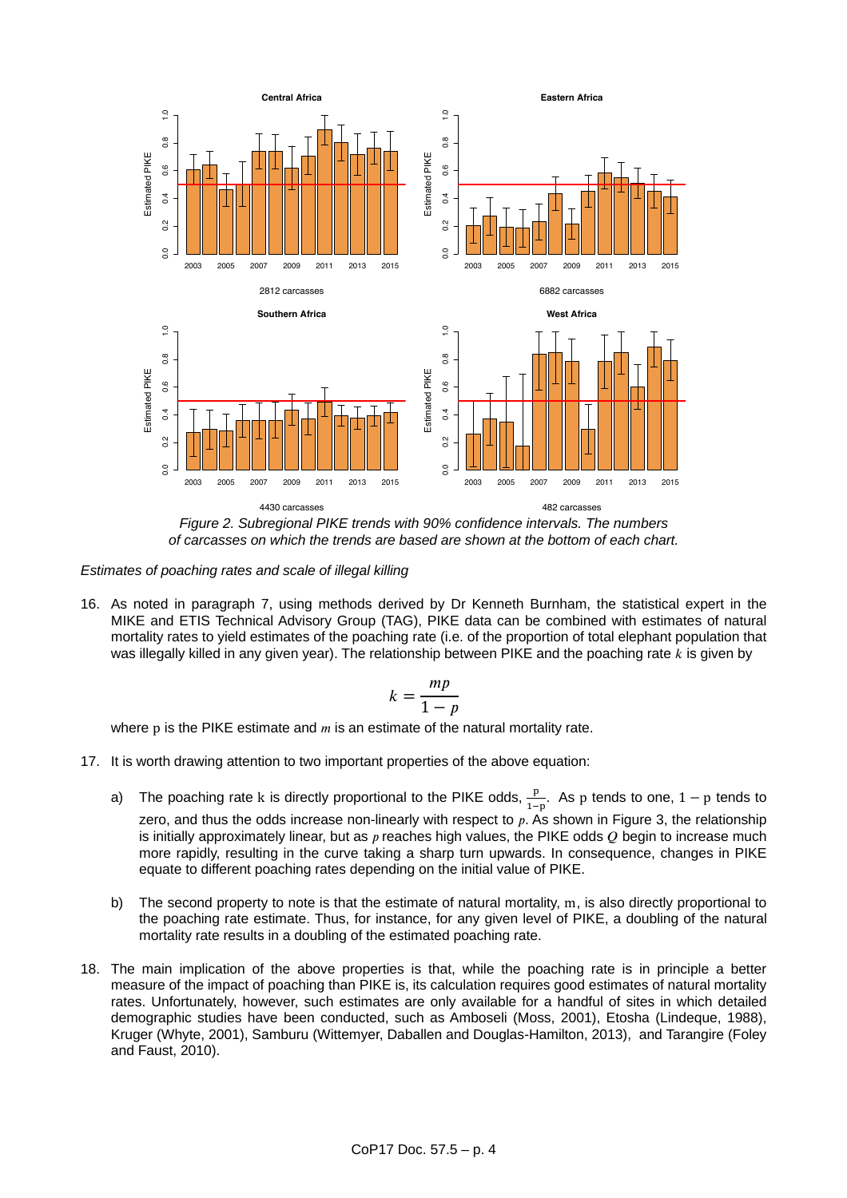

*Figure 2. Subregional PIKE trends with 90% confidence intervals. The numbers of carcasses on which the trends are based are shown at the bottom of each chart.*

*Estimates of poaching rates and scale of illegal killing*

16. As noted in paragraph 7, using methods derived by Dr Kenneth Burnham, the statistical expert in the MIKE and ETIS Technical Advisory Group (TAG), PIKE data can be combined with estimates of natural mortality rates to yield estimates of the poaching rate (i.e. of the proportion of total elephant population that was illegally killed in any given year). The relationship between PIKE and the poaching rate  $k$  is given by

$$
k = \frac{mp}{1 - p}
$$

where  $p$  is the PIKE estimate and  $m$  is an estimate of the natural mortality rate.

- 17. It is worth drawing attention to two important properties of the above equation:
	- a) The poaching rate k is directly proportional to the PIKE odds,  $\frac{p}{1-p}$ . As p tends to one,  $1-p$  tends to zero, and thus the odds increase non-linearly with respect to  $p$ . As shown in Figure 3, the relationship is initially approximately linear, but as  $p$  reaches high values, the PIKE odds  $Q$  begin to increase much more rapidly, resulting in the curve taking a sharp turn upwards. In consequence, changes in PIKE equate to different poaching rates depending on the initial value of PIKE.
	- b) The second property to note is that the estimate of natural mortality, m, is also directly proportional to the poaching rate estimate. Thus, for instance, for any given level of PIKE, a doubling of the natural mortality rate results in a doubling of the estimated poaching rate.
- 18. The main implication of the above properties is that, while the poaching rate is in principle a better measure of the impact of poaching than PIKE is, its calculation requires good estimates of natural mortality rates. Unfortunately, however, such estimates are only available for a handful of sites in which detailed demographic studies have been conducted, such as Amboseli (Moss, 2001), Etosha (Lindeque, 1988), Kruger (Whyte, 2001), Samburu (Wittemyer, Daballen and Douglas-Hamilton, 2013), and Tarangire (Foley and Faust, 2010).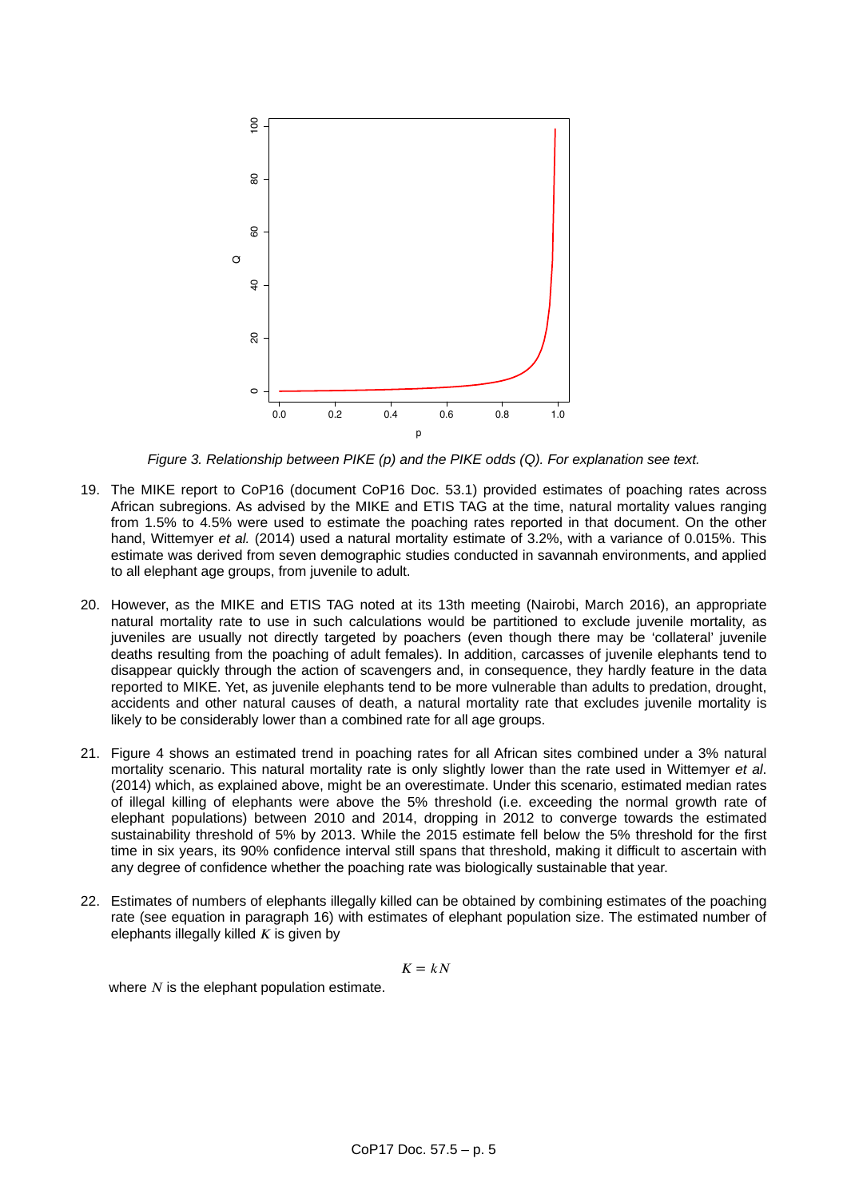

*Figure 3. Relationship between PIKE (p) and the PIKE odds (Q). For explanation see text.* 

- 19. The MIKE report to CoP16 (document CoP16 Doc. 53.1) provided estimates of poaching rates across African subregions. As advised by the MIKE and ETIS TAG at the time, natural mortality values ranging from 1.5% to 4.5% were used to estimate the poaching rates reported in that document. On the other hand, Wittemyer *et al.* (2014) used a natural mortality estimate of 3.2%, with a variance of 0.015%. This estimate was derived from seven demographic studies conducted in savannah environments, and applied to all elephant age groups, from juvenile to adult.
- 20. However, as the MIKE and ETIS TAG noted at its 13th meeting (Nairobi, March 2016), an appropriate natural mortality rate to use in such calculations would be partitioned to exclude juvenile mortality, as juveniles are usually not directly targeted by poachers (even though there may be 'collateral' juvenile deaths resulting from the poaching of adult females). In addition, carcasses of juvenile elephants tend to disappear quickly through the action of scavengers and, in consequence, they hardly feature in the data reported to MIKE. Yet, as juvenile elephants tend to be more vulnerable than adults to predation, drought, accidents and other natural causes of death, a natural mortality rate that excludes juvenile mortality is likely to be considerably lower than a combined rate for all age groups.
- 21. Figure 4 shows an estimated trend in poaching rates for all African sites combined under a 3% natural mortality scenario. This natural mortality rate is only slightly lower than the rate used in Wittemyer *et al*. (2014) which, as explained above, might be an overestimate. Under this scenario, estimated median rates of illegal killing of elephants were above the 5% threshold (i.e. exceeding the normal growth rate of elephant populations) between 2010 and 2014, dropping in 2012 to converge towards the estimated sustainability threshold of 5% by 2013. While the 2015 estimate fell below the 5% threshold for the first time in six years, its 90% confidence interval still spans that threshold, making it difficult to ascertain with any degree of confidence whether the poaching rate was biologically sustainable that year.
- 22. Estimates of numbers of elephants illegally killed can be obtained by combining estimates of the poaching rate (see equation in paragraph 16) with estimates of elephant population size. The estimated number of elephants illegally killed  $K$  is given by

$$
K = kN
$$

where  $N$  is the elephant population estimate.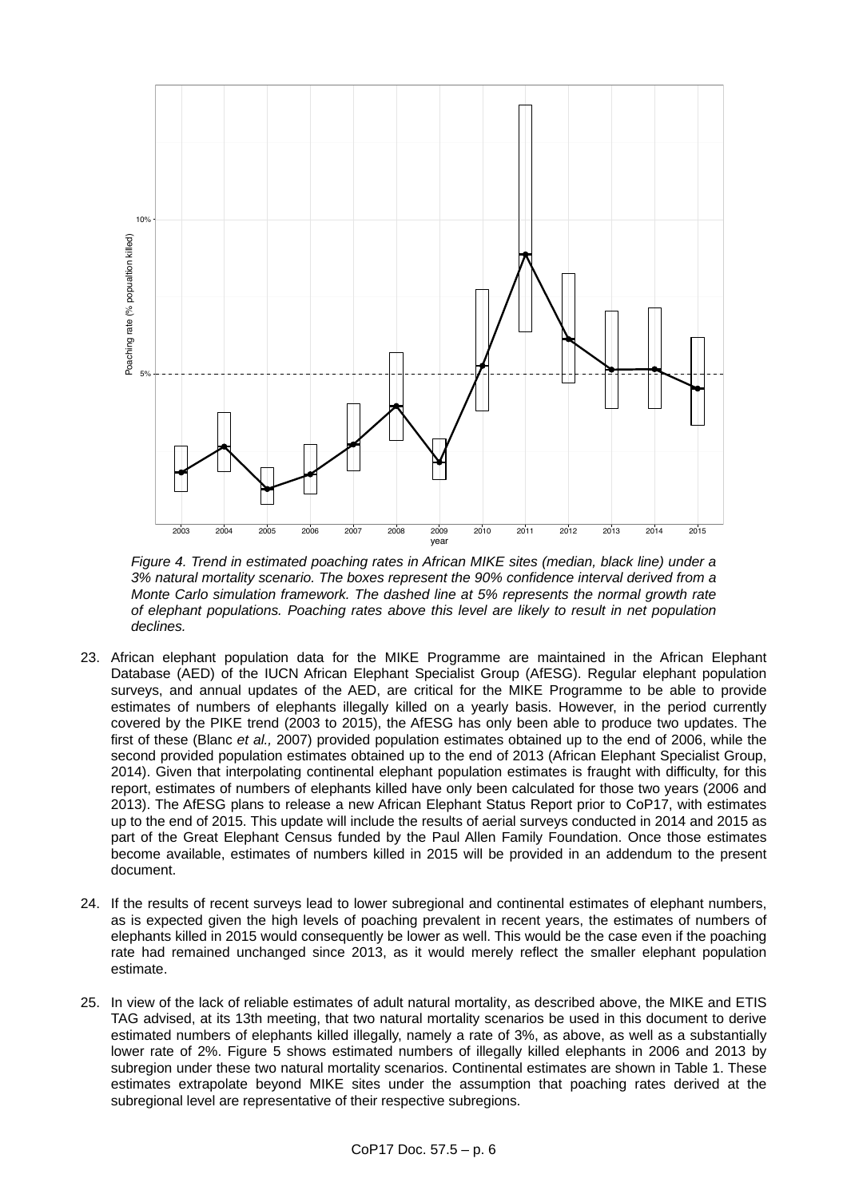

*Figure 4. Trend in estimated poaching rates in African MIKE sites (median, black line) under a 3% natural mortality scenario. The boxes represent the 90% confidence interval derived from a Monte Carlo simulation framework. The dashed line at 5% represents the normal growth rate of elephant populations. Poaching rates above this level are likely to result in net population declines.* 

- 23. African elephant population data for the MIKE Programme are maintained in the African Elephant Database (AED) of the IUCN African Elephant Specialist Group (AfESG). Regular elephant population surveys, and annual updates of the AED, are critical for the MIKE Programme to be able to provide estimates of numbers of elephants illegally killed on a yearly basis. However, in the period currently covered by the PIKE trend (2003 to 2015), the AfESG has only been able to produce two updates. The first of these (Blanc *et al.,* 2007) provided population estimates obtained up to the end of 2006, while the second provided population estimates obtained up to the end of 2013 (African Elephant Specialist Group, 2014). Given that interpolating continental elephant population estimates is fraught with difficulty, for this report, estimates of numbers of elephants killed have only been calculated for those two years (2006 and 2013). The AfESG plans to release a new African Elephant Status Report prior to CoP17, with estimates up to the end of 2015. This update will include the results of aerial surveys conducted in 2014 and 2015 as part of the Great Elephant Census funded by the Paul Allen Family Foundation. Once those estimates become available, estimates of numbers killed in 2015 will be provided in an addendum to the present document.
- 24. If the results of recent surveys lead to lower subregional and continental estimates of elephant numbers, as is expected given the high levels of poaching prevalent in recent years, the estimates of numbers of elephants killed in 2015 would consequently be lower as well. This would be the case even if the poaching rate had remained unchanged since 2013, as it would merely reflect the smaller elephant population estimate.
- 25. In view of the lack of reliable estimates of adult natural mortality, as described above, the MIKE and ETIS TAG advised, at its 13th meeting, that two natural mortality scenarios be used in this document to derive estimated numbers of elephants killed illegally, namely a rate of 3%, as above, as well as a substantially lower rate of 2%. Figure 5 shows estimated numbers of illegally killed elephants in 2006 and 2013 by subregion under these two natural mortality scenarios. Continental estimates are shown in Table 1. These estimates extrapolate beyond MIKE sites under the assumption that poaching rates derived at the subregional level are representative of their respective subregions.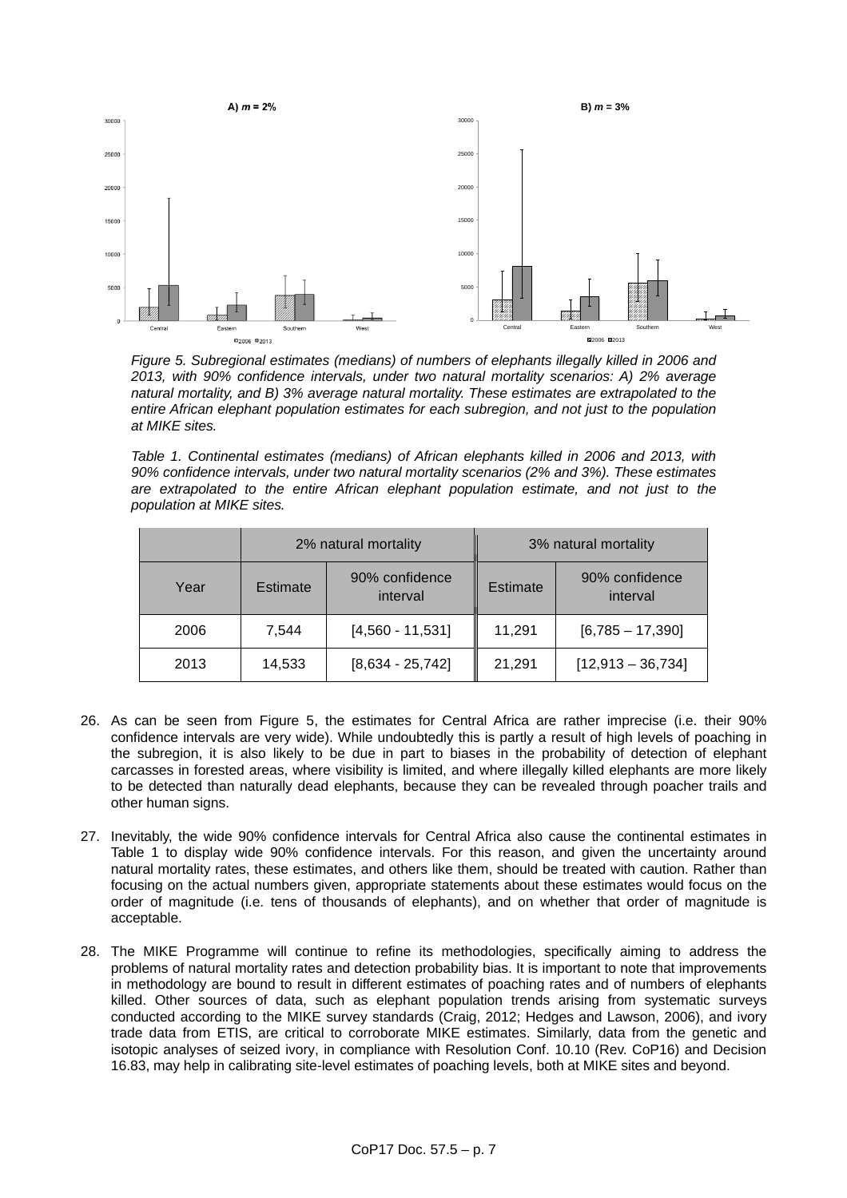

*Figure 5. Subregional estimates (medians) of numbers of elephants illegally killed in 2006 and 2013, with 90% confidence intervals, under two natural mortality scenarios: A) 2% average natural mortality, and B) 3% average natural mortality. These estimates are extrapolated to the entire African elephant population estimates for each subregion, and not just to the population at MIKE sites.* 

*Table 1. Continental estimates (medians) of African elephants killed in 2006 and 2013, with 90% confidence intervals, under two natural mortality scenarios (2% and 3%). These estimates are extrapolated to the entire African elephant population estimate, and not just to the population at MIKE sites.*

|      | 2% natural mortality |                            | 3% natural mortality |                            |
|------|----------------------|----------------------------|----------------------|----------------------------|
| Year | Estimate             | 90% confidence<br>interval | Estimate             | 90% confidence<br>interval |
| 2006 | 7.544                | $[4,560 - 11,531]$         | 11,291               | $[6,785 - 17,390]$         |
| 2013 | 14,533               | $[8,634 - 25,742]$         | 21,291               | $[12,913 - 36,734]$        |

- 26. As can be seen from Figure 5, the estimates for Central Africa are rather imprecise (i.e. their 90% confidence intervals are very wide). While undoubtedly this is partly a result of high levels of poaching in the subregion, it is also likely to be due in part to biases in the probability of detection of elephant carcasses in forested areas, where visibility is limited, and where illegally killed elephants are more likely to be detected than naturally dead elephants, because they can be revealed through poacher trails and other human signs.
- 27. Inevitably, the wide 90% confidence intervals for Central Africa also cause the continental estimates in Table 1 to display wide 90% confidence intervals. For this reason, and given the uncertainty around natural mortality rates, these estimates, and others like them, should be treated with caution. Rather than focusing on the actual numbers given, appropriate statements about these estimates would focus on the order of magnitude (i.e. tens of thousands of elephants), and on whether that order of magnitude is acceptable.
- 28. The MIKE Programme will continue to refine its methodologies, specifically aiming to address the problems of natural mortality rates and detection probability bias. It is important to note that improvements in methodology are bound to result in different estimates of poaching rates and of numbers of elephants killed. Other sources of data, such as elephant population trends arising from systematic surveys conducted according to the MIKE survey standards (Craig, 2012; Hedges and Lawson, 2006), and ivory trade data from ETIS, are critical to corroborate MIKE estimates. Similarly, data from the genetic and isotopic analyses of seized ivory, in compliance with Resolution Conf. 10.10 (Rev. CoP16) and Decision 16.83, may help in calibrating site-level estimates of poaching levels, both at MIKE sites and beyond.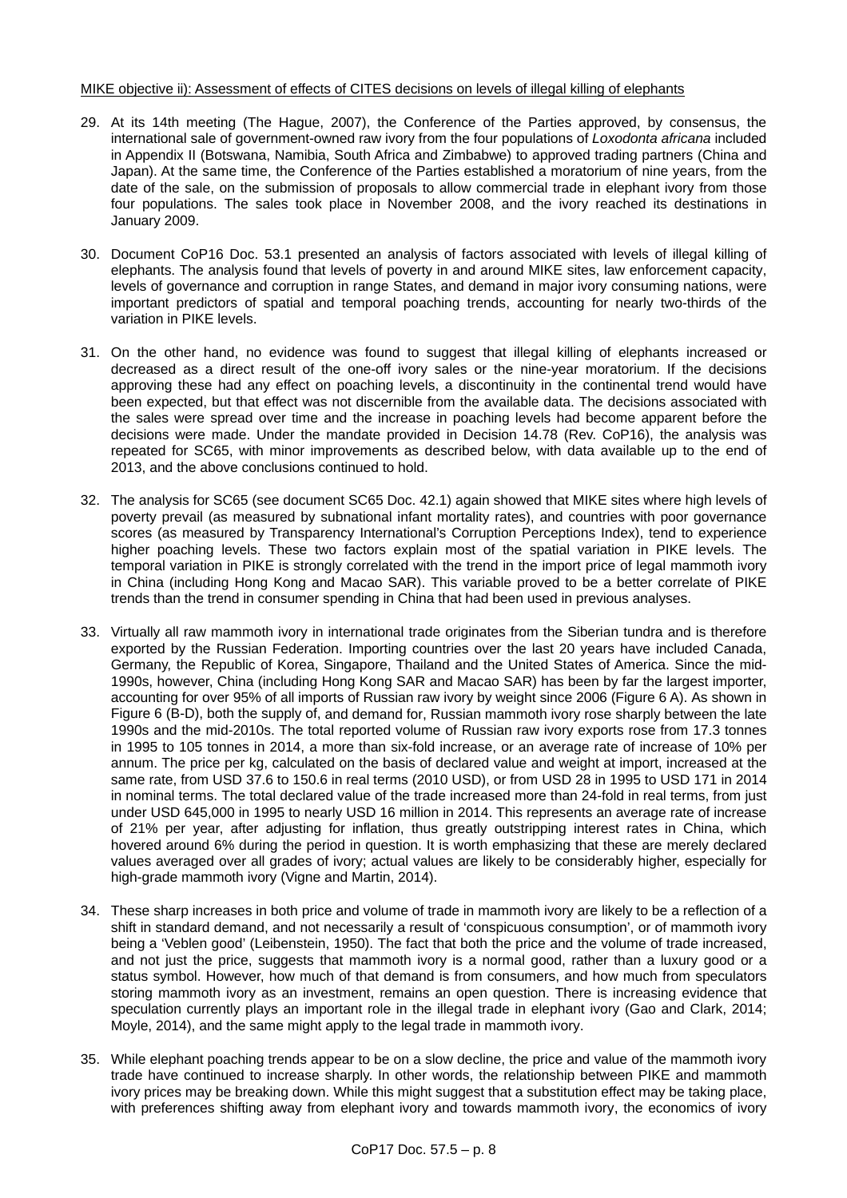# MIKE objective ii): Assessment of effects of CITES decisions on levels of illegal killing of elephants

- 29. At its 14th meeting (The Hague, 2007), the Conference of the Parties approved, by consensus, the international sale of government-owned raw ivory from the four populations of *Loxodonta africana* included in Appendix II (Botswana, Namibia, South Africa and Zimbabwe) to approved trading partners (China and Japan). At the same time, the Conference of the Parties established a moratorium of nine years, from the date of the sale, on the submission of proposals to allow commercial trade in elephant ivory from those four populations. The sales took place in November 2008, and the ivory reached its destinations in January 2009.
- 30. Document CoP16 Doc. 53.1 presented an analysis of factors associated with levels of illegal killing of elephants. The analysis found that levels of poverty in and around MIKE sites, law enforcement capacity, levels of governance and corruption in range States, and demand in major ivory consuming nations, were important predictors of spatial and temporal poaching trends, accounting for nearly two-thirds of the variation in PIKE levels.
- 31. On the other hand, no evidence was found to suggest that illegal killing of elephants increased or decreased as a direct result of the one-off ivory sales or the nine-year moratorium. If the decisions approving these had any effect on poaching levels, a discontinuity in the continental trend would have been expected, but that effect was not discernible from the available data. The decisions associated with the sales were spread over time and the increase in poaching levels had become apparent before the decisions were made. Under the mandate provided in Decision 14.78 (Rev. CoP16), the analysis was repeated for SC65, with minor improvements as described below, with data available up to the end of 2013, and the above conclusions continued to hold.
- 32. The analysis for SC65 (see document SC65 Doc. 42.1) again showed that MIKE sites where high levels of poverty prevail (as measured by subnational infant mortality rates), and countries with poor governance scores (as measured by Transparency International's Corruption Perceptions Index), tend to experience higher poaching levels. These two factors explain most of the spatial variation in PIKE levels. The temporal variation in PIKE is strongly correlated with the trend in the import price of legal mammoth ivory in China (including Hong Kong and Macao SAR). This variable proved to be a better correlate of PIKE trends than the trend in consumer spending in China that had been used in previous analyses.
- 33. Virtually all raw mammoth ivory in international trade originates from the Siberian tundra and is therefore exported by the Russian Federation. Importing countries over the last 20 years have included Canada, Germany, the Republic of Korea, Singapore, Thailand and the United States of America. Since the mid-1990s, however, China (including Hong Kong SAR and Macao SAR) has been by far the largest importer, accounting for over 95% of all imports of Russian raw ivory by weight since 2006 (Figure 6 A). As shown in Figure 6 (B-D), both the supply of, and demand for, Russian mammoth ivory rose sharply between the late 1990s and the mid-2010s. The total reported volume of Russian raw ivory exports rose from 17.3 tonnes in 1995 to 105 tonnes in 2014, a more than six-fold increase, or an average rate of increase of 10% per annum. The price per kg, calculated on the basis of declared value and weight at import, increased at the same rate, from USD 37.6 to 150.6 in real terms (2010 USD), or from USD 28 in 1995 to USD 171 in 2014 in nominal terms. The total declared value of the trade increased more than 24-fold in real terms, from just under USD 645,000 in 1995 to nearly USD 16 million in 2014. This represents an average rate of increase of 21% per year, after adjusting for inflation, thus greatly outstripping interest rates in China, which hovered around 6% during the period in question. It is worth emphasizing that these are merely declared values averaged over all grades of ivory; actual values are likely to be considerably higher, especially for high-grade mammoth ivory (Vigne and Martin, 2014).
- 34. These sharp increases in both price and volume of trade in mammoth ivory are likely to be a reflection of a shift in standard demand, and not necessarily a result of 'conspicuous consumption', or of mammoth ivory being a 'Veblen good' (Leibenstein, 1950). The fact that both the price and the volume of trade increased, and not just the price, suggests that mammoth ivory is a normal good, rather than a luxury good or a status symbol. However, how much of that demand is from consumers, and how much from speculators storing mammoth ivory as an investment, remains an open question. There is increasing evidence that speculation currently plays an important role in the illegal trade in elephant ivory (Gao and Clark, 2014; Moyle, 2014), and the same might apply to the legal trade in mammoth ivory.
- 35. While elephant poaching trends appear to be on a slow decline, the price and value of the mammoth ivory trade have continued to increase sharply. In other words, the relationship between PIKE and mammoth ivory prices may be breaking down. While this might suggest that a substitution effect may be taking place, with preferences shifting away from elephant ivory and towards mammoth ivory, the economics of ivory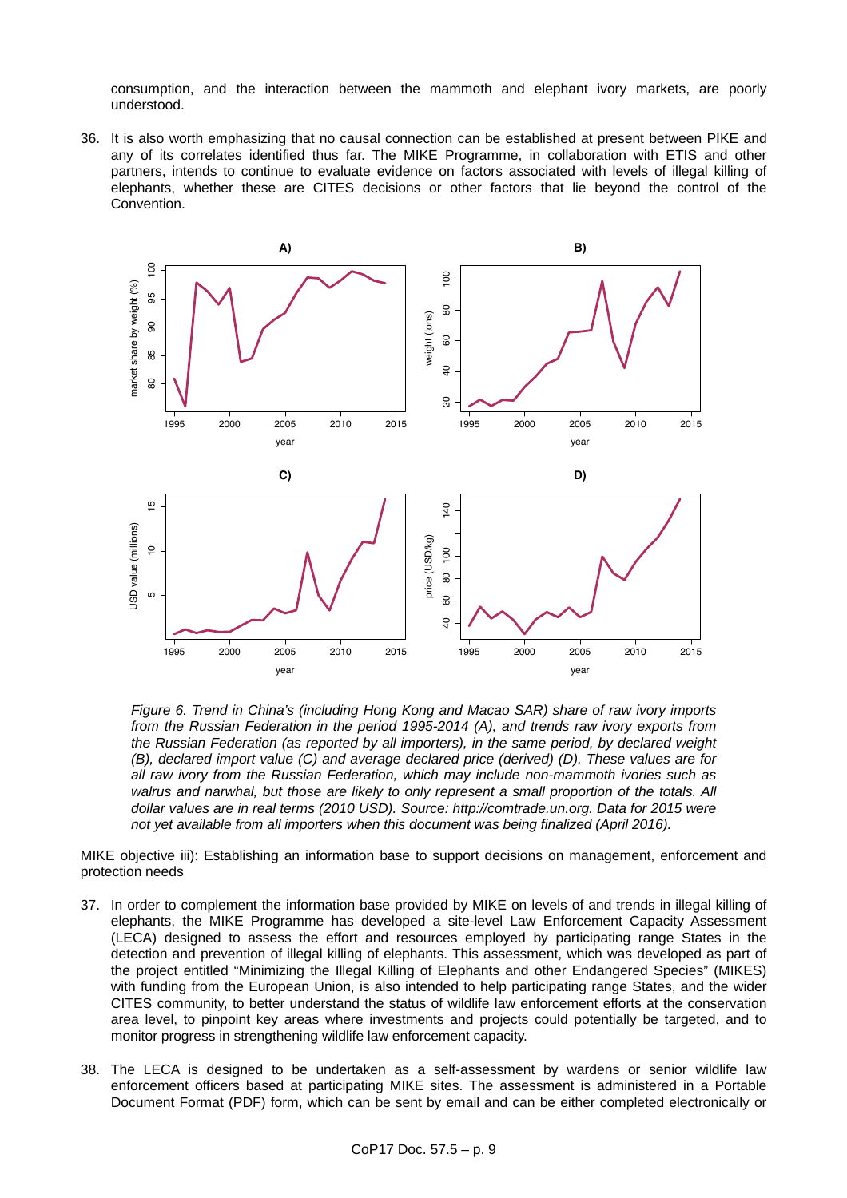consumption, and the interaction between the mammoth and elephant ivory markets, are poorly understood.

36. It is also worth emphasizing that no causal connection can be established at present between PIKE and any of its correlates identified thus far. The MIKE Programme, in collaboration with ETIS and other partners, intends to continue to evaluate evidence on factors associated with levels of illegal killing of elephants, whether these are CITES decisions or other factors that lie beyond the control of the Convention.



*Figure 6. Trend in China's (including Hong Kong and Macao SAR) share of raw ivory imports from the Russian Federation in the period 1995-2014 (A), and trends raw ivory exports from the Russian Federation (as reported by all importers), in the same period, by declared weight (B), declared import value (C) and average declared price (derived) (D). These values are for all raw ivory from the Russian Federation, which may include non-mammoth ivories such as walrus and narwhal, but those are likely to only represent a small proportion of the totals. All dollar values are in real terms (2010 USD). Source: http://comtrade.un.org. Data for 2015 were not yet available from all importers when this document was being finalized (April 2016).* 

### MIKE objective iii): Establishing an information base to support decisions on management, enforcement and protection needs

- 37. In order to complement the information base provided by MIKE on levels of and trends in illegal killing of elephants, the MIKE Programme has developed a site-level Law Enforcement Capacity Assessment (LECA) designed to assess the effort and resources employed by participating range States in the detection and prevention of illegal killing of elephants. This assessment, which was developed as part of the project entitled "Minimizing the Illegal Killing of Elephants and other Endangered Species" (MIKES) with funding from the European Union, is also intended to help participating range States, and the wider CITES community, to better understand the status of wildlife law enforcement efforts at the conservation area level, to pinpoint key areas where investments and projects could potentially be targeted, and to monitor progress in strengthening wildlife law enforcement capacity.
- 38. The LECA is designed to be undertaken as a self-assessment by wardens or senior wildlife law enforcement officers based at participating MIKE sites. The assessment is administered in a Portable Document Format (PDF) form, which can be sent by email and can be either completed electronically or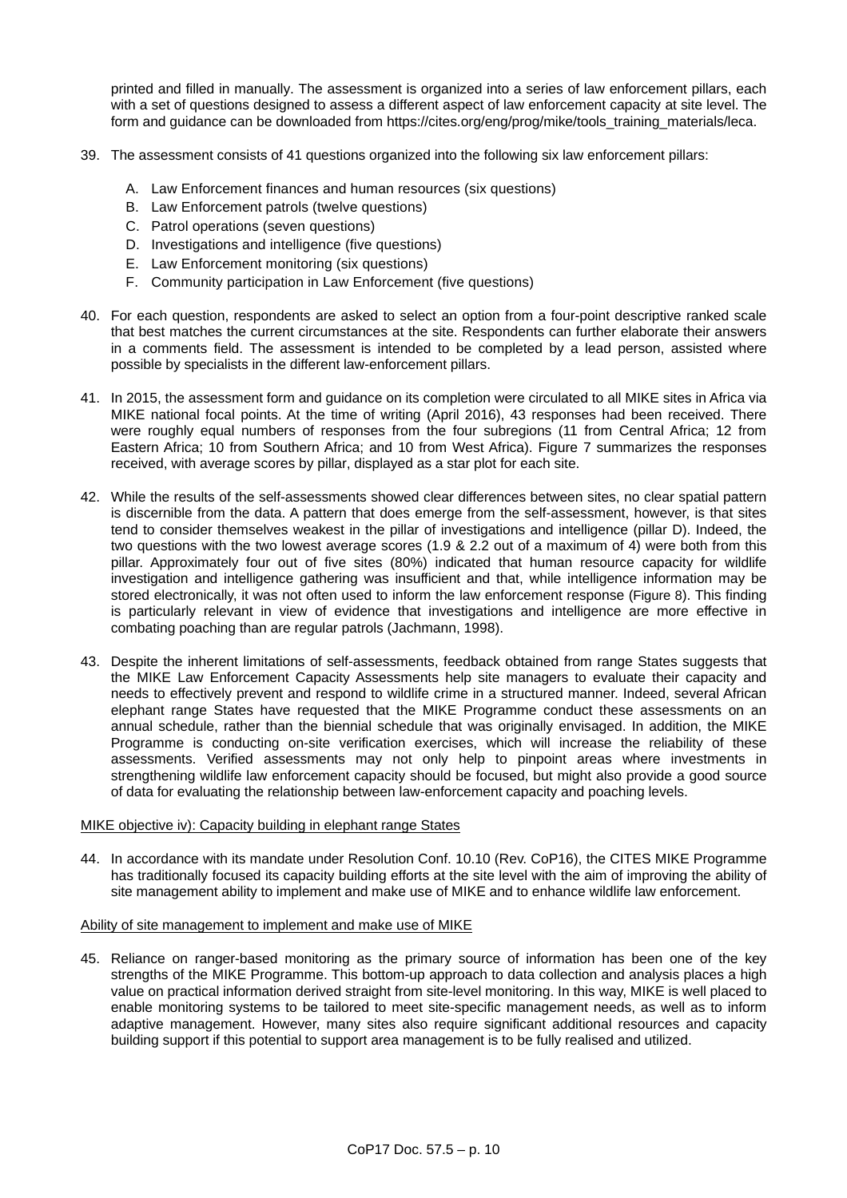printed and filled in manually. The assessment is organized into a series of law enforcement pillars, each with a set of questions designed to assess a different aspect of law enforcement capacity at site level. The form and guidance can be downloaded from https://cites.org/eng/prog/mike/tools\_training\_materials/leca.

- 39. The assessment consists of 41 questions organized into the following six law enforcement pillars:
	- A. Law Enforcement finances and human resources (six questions)
	- B. Law Enforcement patrols (twelve questions)
	- C. Patrol operations (seven questions)
	- D. Investigations and intelligence (five questions)
	- E. Law Enforcement monitoring (six questions)
	- F. Community participation in Law Enforcement (five questions)
- 40. For each question, respondents are asked to select an option from a four-point descriptive ranked scale that best matches the current circumstances at the site. Respondents can further elaborate their answers in a comments field. The assessment is intended to be completed by a lead person, assisted where possible by specialists in the different law-enforcement pillars.
- 41. In 2015, the assessment form and guidance on its completion were circulated to all MIKE sites in Africa via MIKE national focal points. At the time of writing (April 2016), 43 responses had been received. There were roughly equal numbers of responses from the four subregions (11 from Central Africa; 12 from Eastern Africa; 10 from Southern Africa; and 10 from West Africa). Figure 7 summarizes the responses received, with average scores by pillar, displayed as a star plot for each site.
- 42. While the results of the self-assessments showed clear differences between sites, no clear spatial pattern is discernible from the data. A pattern that does emerge from the self-assessment, however, is that sites tend to consider themselves weakest in the pillar of investigations and intelligence (pillar D). Indeed, the two questions with the two lowest average scores (1.9 & 2.2 out of a maximum of 4) were both from this pillar. Approximately four out of five sites (80%) indicated that human resource capacity for wildlife investigation and intelligence gathering was insufficient and that, while intelligence information may be stored electronically, it was not often used to inform the law enforcement response (Figure 8). This finding is particularly relevant in view of evidence that investigations and intelligence are more effective in combating poaching than are regular patrols (Jachmann, 1998).
- 43. Despite the inherent limitations of self-assessments, feedback obtained from range States suggests that the MIKE Law Enforcement Capacity Assessments help site managers to evaluate their capacity and needs to effectively prevent and respond to wildlife crime in a structured manner. Indeed, several African elephant range States have requested that the MIKE Programme conduct these assessments on an annual schedule, rather than the biennial schedule that was originally envisaged. In addition, the MIKE Programme is conducting on-site verification exercises, which will increase the reliability of these assessments. Verified assessments may not only help to pinpoint areas where investments in strengthening wildlife law enforcement capacity should be focused, but might also provide a good source of data for evaluating the relationship between law-enforcement capacity and poaching levels.

## MIKE objective iv): Capacity building in elephant range States

44. In accordance with its mandate under Resolution Conf. 10.10 (Rev. CoP16), the CITES MIKE Programme has traditionally focused its capacity building efforts at the site level with the aim of improving the ability of site management ability to implement and make use of MIKE and to enhance wildlife law enforcement.

#### Ability of site management to implement and make use of MIKE

45. Reliance on ranger-based monitoring as the primary source of information has been one of the key strengths of the MIKE Programme. This bottom-up approach to data collection and analysis places a high value on practical information derived straight from site-level monitoring. In this way, MIKE is well placed to enable monitoring systems to be tailored to meet site-specific management needs, as well as to inform adaptive management. However, many sites also require significant additional resources and capacity building support if this potential to support area management is to be fully realised and utilized.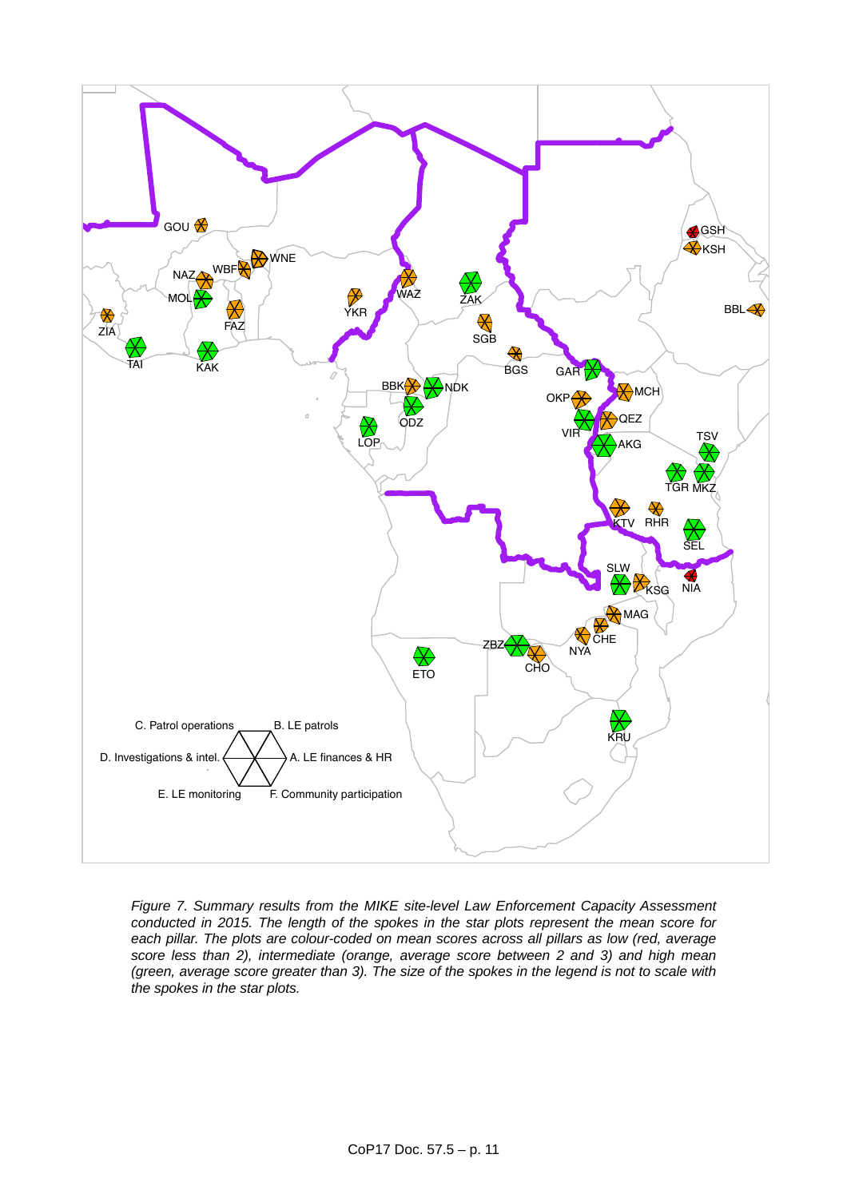

*Figure 7. Summary results from the MIKE site-level Law Enforcement Capacity Assessment conducted in 2015. The length of the spokes in the star plots represent the mean score for each pillar. The plots are colour-coded on mean scores across all pillars as low (red, average score less than 2), intermediate (orange, average score between 2 and 3) and high mean (green, average score greater than 3). The size of the spokes in the legend is not to scale with the spokes in the star plots.*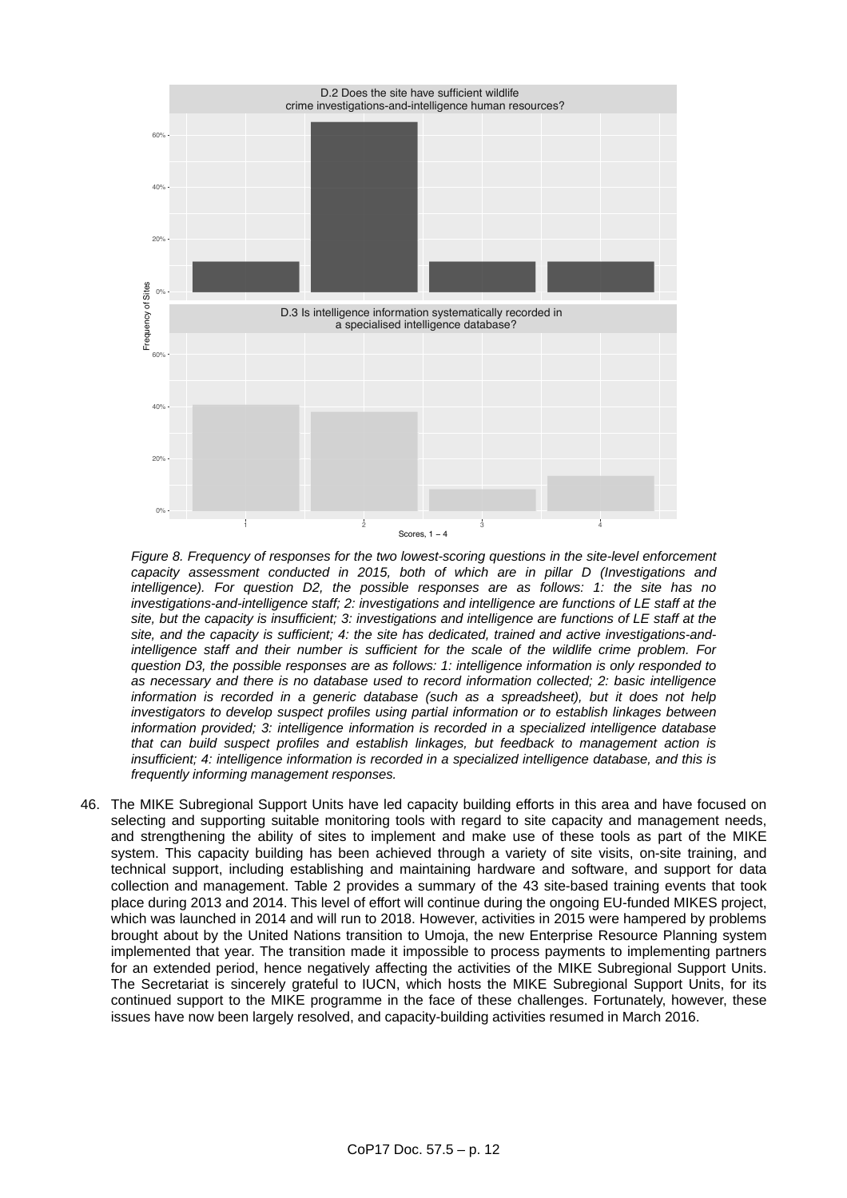

*Figure 8. Frequency of responses for the two lowest-scoring questions in the site-level enforcement capacity assessment conducted in 2015, both of which are in pillar D (Investigations and intelligence). For question D2, the possible responses are as follows: 1: the site has no investigations-and-intelligence staff; 2: investigations and intelligence are functions of LE staff at the site, but the capacity is insufficient; 3: investigations and intelligence are functions of LE staff at the site, and the capacity is sufficient; 4: the site has dedicated, trained and active investigations-andintelligence staff and their number is sufficient for the scale of the wildlife crime problem. For question D3, the possible responses are as follows: 1: intelligence information is only responded to as necessary and there is no database used to record information collected; 2: basic intelligence information is recorded in a generic database (such as a spreadsheet), but it does not help investigators to develop suspect profiles using partial information or to establish linkages between information provided; 3: intelligence information is recorded in a specialized intelligence database that can build suspect profiles and establish linkages, but feedback to management action is insufficient; 4: intelligence information is recorded in a specialized intelligence database, and this is frequently informing management responses.* 

46. The MIKE Subregional Support Units have led capacity building efforts in this area and have focused on selecting and supporting suitable monitoring tools with regard to site capacity and management needs, and strengthening the ability of sites to implement and make use of these tools as part of the MIKE system. This capacity building has been achieved through a variety of site visits, on-site training, and technical support, including establishing and maintaining hardware and software, and support for data collection and management. Table 2 provides a summary of the 43 site-based training events that took place during 2013 and 2014. This level of effort will continue during the ongoing EU-funded MIKES project, which was launched in 2014 and will run to 2018. However, activities in 2015 were hampered by problems brought about by the United Nations transition to Umoja, the new Enterprise Resource Planning system implemented that year. The transition made it impossible to process payments to implementing partners for an extended period, hence negatively affecting the activities of the MIKE Subregional Support Units. The Secretariat is sincerely grateful to IUCN, which hosts the MIKE Subregional Support Units, for its continued support to the MIKE programme in the face of these challenges. Fortunately, however, these issues have now been largely resolved, and capacity-building activities resumed in March 2016.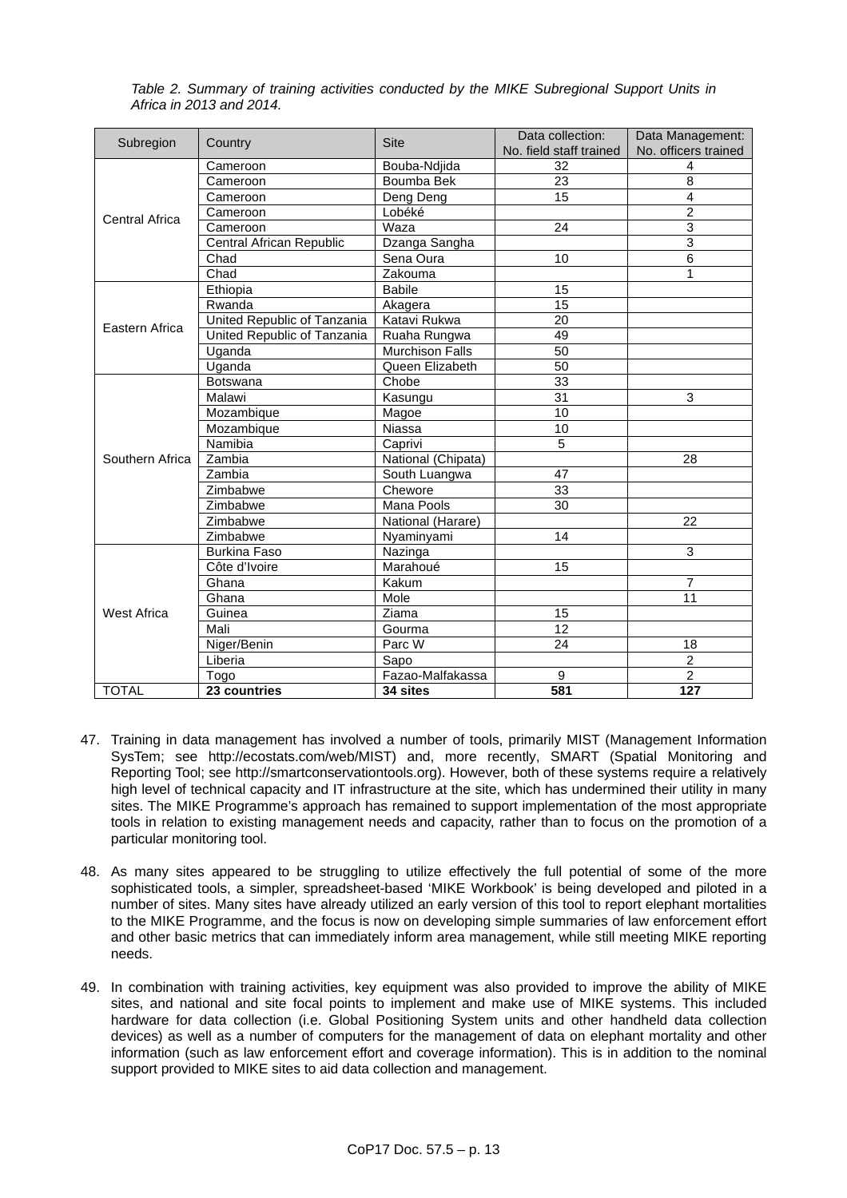| Subregion             |                             | <b>Site</b>            | Data collection:        | Data Management:     |
|-----------------------|-----------------------------|------------------------|-------------------------|----------------------|
|                       | Country                     |                        | No. field staff trained | No. officers trained |
|                       | Cameroon                    | Bouba-Ndjida           | 32                      | 4                    |
|                       | Cameroon                    | Boumba Bek             | 23                      | 8                    |
| <b>Central Africa</b> | Cameroon                    | Deng Deng              | 15                      | 4                    |
|                       | Cameroon                    | Lobéké                 |                         | 2                    |
|                       | Cameroon                    | Waza                   | 24                      | 3                    |
|                       | Central African Republic    | Dzanga Sangha          |                         | 3                    |
|                       | Chad                        | Sena Oura              | 10                      | 6                    |
|                       | Chad                        | Zakouma                |                         | 1                    |
|                       | Ethiopia                    | <b>Babile</b>          | 15                      |                      |
|                       | Rwanda                      | Akagera                | 15                      |                      |
| Eastern Africa        | United Republic of Tanzania | Katavi Rukwa           | 20                      |                      |
|                       | United Republic of Tanzania | Ruaha Rungwa           | 49                      |                      |
|                       | Uganda                      | <b>Murchison Falls</b> | 50                      |                      |
|                       | Uganda                      | Queen Elizabeth        | 50                      |                      |
|                       | Botswana                    | Chobe                  | 33                      |                      |
|                       | Malawi                      | Kasungu                | 31                      | 3                    |
|                       | Mozambique                  | Magoe                  | 10                      |                      |
|                       | Mozambique                  | Niassa                 | 10                      |                      |
|                       | Namibia                     | Caprivi                | 5                       |                      |
| Southern Africa       | Zambia                      | National (Chipata)     |                         | 28                   |
|                       | Zambia                      | South Luangwa          | 47                      |                      |
|                       | Zimbabwe                    | Chewore                | 33                      |                      |
|                       | Zimbabwe                    | Mana Pools             | $\overline{30}$         |                      |
|                       | Zimbabwe                    | National (Harare)      |                         | 22                   |
|                       | Zimbabwe                    | Nyaminyami             | 14                      |                      |
|                       | <b>Burkina Faso</b>         | Nazinga                |                         | 3                    |
|                       | Côte d'Ivoire               | Marahoué               | 15                      |                      |
|                       | Ghana                       | Kakum                  |                         | $\overline{7}$       |
|                       | Ghana                       | Mole                   |                         | 11                   |
| <b>West Africa</b>    | Guinea                      | Ziama                  | 15                      |                      |
|                       | Mali                        | Gourma                 | 12                      |                      |
|                       | Niger/Benin                 | Parc W                 | 24                      | 18                   |
|                       | Liberia                     | Sapo                   |                         | $\overline{2}$       |
|                       | Togo                        | Fazao-Malfakassa       | 9                       | $\overline{2}$       |
| <b>TOTAL</b>          | 23 countries                | 34 sites               | 581                     | 127                  |

*Table 2. Summary of training activities conducted by the MIKE Subregional Support Units in Africa in 2013 and 2014.* 

- 47. Training in data management has involved a number of tools, primarily MIST (Management Information SysTem; see http://ecostats.com/web/MIST) and, more recently, SMART (Spatial Monitoring and Reporting Tool; see http://smartconservationtools.org). However, both of these systems require a relatively high level of technical capacity and IT infrastructure at the site, which has undermined their utility in many sites. The MIKE Programme's approach has remained to support implementation of the most appropriate tools in relation to existing management needs and capacity, rather than to focus on the promotion of a particular monitoring tool.
- 48. As many sites appeared to be struggling to utilize effectively the full potential of some of the more sophisticated tools, a simpler, spreadsheet-based 'MIKE Workbook' is being developed and piloted in a number of sites. Many sites have already utilized an early version of this tool to report elephant mortalities to the MIKE Programme, and the focus is now on developing simple summaries of law enforcement effort and other basic metrics that can immediately inform area management, while still meeting MIKE reporting needs.
- 49. In combination with training activities, key equipment was also provided to improve the ability of MIKE sites, and national and site focal points to implement and make use of MIKE systems. This included hardware for data collection (i.e. Global Positioning System units and other handheld data collection devices) as well as a number of computers for the management of data on elephant mortality and other information (such as law enforcement effort and coverage information). This is in addition to the nominal support provided to MIKE sites to aid data collection and management.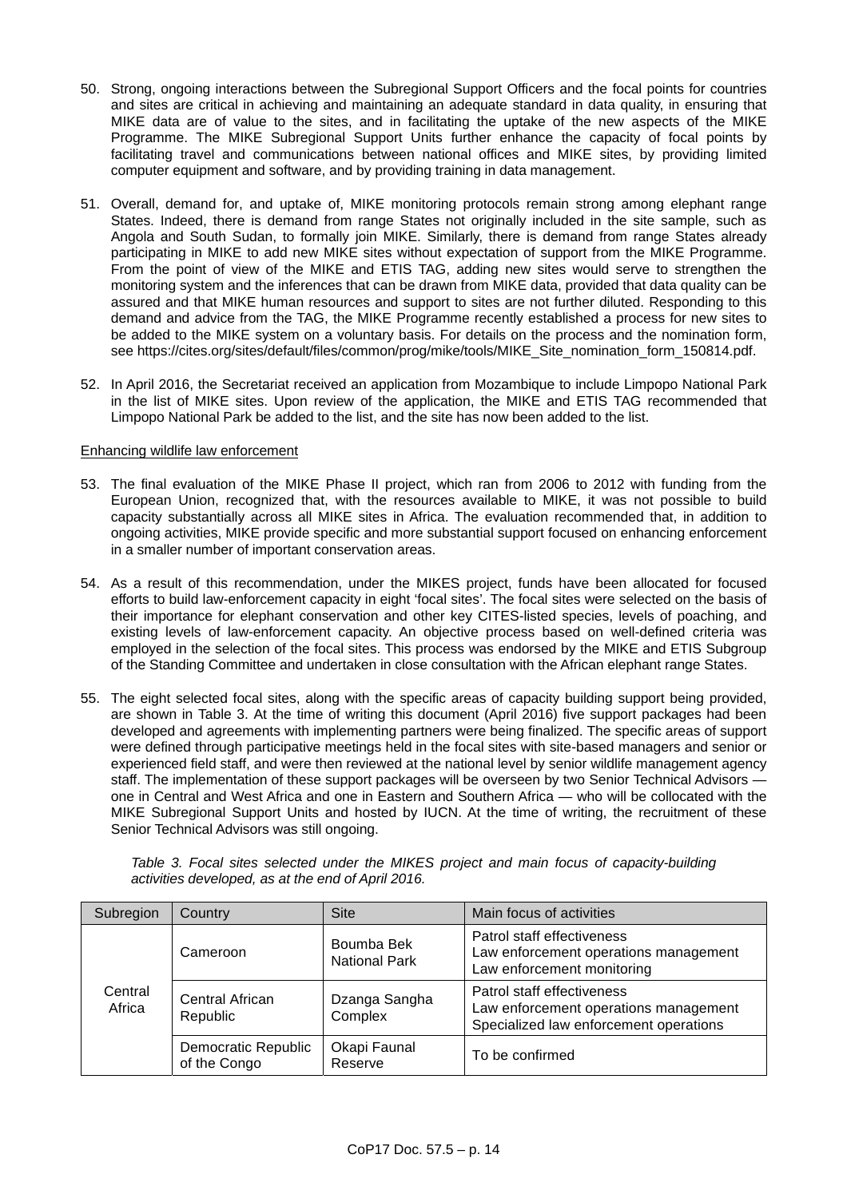- 50. Strong, ongoing interactions between the Subregional Support Officers and the focal points for countries and sites are critical in achieving and maintaining an adequate standard in data quality, in ensuring that MIKE data are of value to the sites, and in facilitating the uptake of the new aspects of the MIKE Programme. The MIKE Subregional Support Units further enhance the capacity of focal points by facilitating travel and communications between national offices and MIKE sites, by providing limited computer equipment and software, and by providing training in data management.
- 51. Overall, demand for, and uptake of, MIKE monitoring protocols remain strong among elephant range States. Indeed, there is demand from range States not originally included in the site sample, such as Angola and South Sudan, to formally join MIKE. Similarly, there is demand from range States already participating in MIKE to add new MIKE sites without expectation of support from the MIKE Programme. From the point of view of the MIKE and ETIS TAG, adding new sites would serve to strengthen the monitoring system and the inferences that can be drawn from MIKE data, provided that data quality can be assured and that MIKE human resources and support to sites are not further diluted. Responding to this demand and advice from the TAG, the MIKE Programme recently established a process for new sites to be added to the MIKE system on a voluntary basis. For details on the process and the nomination form, see https://cites.org/sites/default/files/common/prog/mike/tools/MIKE\_Site\_nomination\_form\_150814.pdf.
- 52. In April 2016, the Secretariat received an application from Mozambique to include Limpopo National Park in the list of MIKE sites. Upon review of the application, the MIKE and ETIS TAG recommended that Limpopo National Park be added to the list, and the site has now been added to the list.

### Enhancing wildlife law enforcement

- 53. The final evaluation of the MIKE Phase II project, which ran from 2006 to 2012 with funding from the European Union, recognized that, with the resources available to MIKE, it was not possible to build capacity substantially across all MIKE sites in Africa. The evaluation recommended that, in addition to ongoing activities, MIKE provide specific and more substantial support focused on enhancing enforcement in a smaller number of important conservation areas.
- 54. As a result of this recommendation, under the MIKES project, funds have been allocated for focused efforts to build law-enforcement capacity in eight 'focal sites'. The focal sites were selected on the basis of their importance for elephant conservation and other key CITES-listed species, levels of poaching, and existing levels of law-enforcement capacity. An objective process based on well-defined criteria was employed in the selection of the focal sites. This process was endorsed by the MIKE and ETIS Subgroup of the Standing Committee and undertaken in close consultation with the African elephant range States.
- 55. The eight selected focal sites, along with the specific areas of capacity building support being provided, are shown in Table 3. At the time of writing this document (April 2016) five support packages had been developed and agreements with implementing partners were being finalized. The specific areas of support were defined through participative meetings held in the focal sites with site-based managers and senior or experienced field staff, and were then reviewed at the national level by senior wildlife management agency staff. The implementation of these support packages will be overseen by two Senior Technical Advisors one in Central and West Africa and one in Eastern and Southern Africa — who will be collocated with the MIKE Subregional Support Units and hosted by IUCN. At the time of writing, the recruitment of these Senior Technical Advisors was still ongoing.

| Subregion         | Country                             | <b>Site</b>                        | Main focus of activities                                                                                      |  |
|-------------------|-------------------------------------|------------------------------------|---------------------------------------------------------------------------------------------------------------|--|
| Central<br>Africa | Cameroon                            | Boumba Bek<br><b>National Park</b> | Patrol staff effectiveness<br>Law enforcement operations management<br>Law enforcement monitoring             |  |
|                   | Central African<br>Republic         | Dzanga Sangha<br>Complex           | Patrol staff effectiveness<br>Law enforcement operations management<br>Specialized law enforcement operations |  |
|                   | Democratic Republic<br>of the Congo | Okapi Faunal<br>Reserve            | To be confirmed                                                                                               |  |

*Table 3. Focal sites selected under the MIKES project and main focus of capacity-building activities developed, as at the end of April 2016.*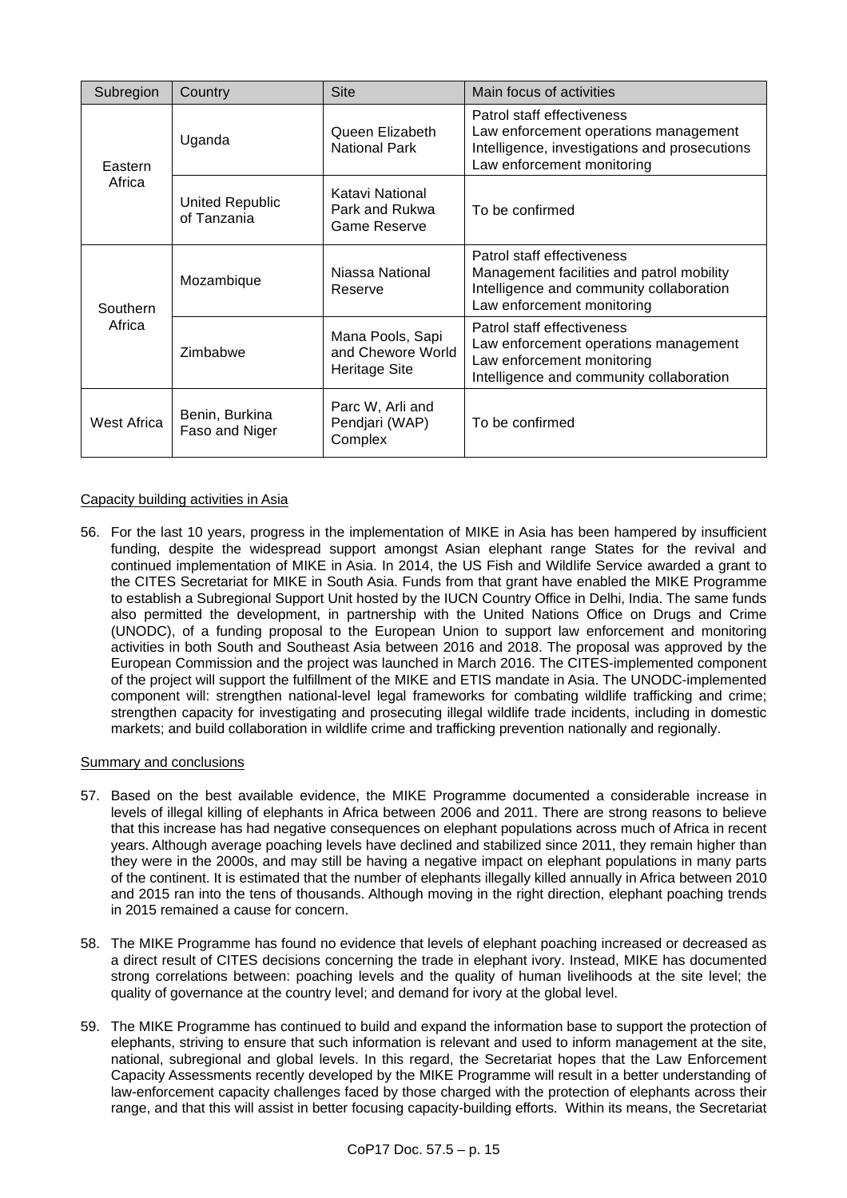| Subregion                 | Country                               | <b>Site</b>                                                   | Main focus of activities                                                                                                                           |  |
|---------------------------|---------------------------------------|---------------------------------------------------------------|----------------------------------------------------------------------------------------------------------------------------------------------------|--|
| Eastern<br>Africa         | Uganda                                | Queen Elizabeth<br><b>National Park</b>                       | Patrol staff effectiveness<br>Law enforcement operations management<br>Intelligence, investigations and prosecutions<br>Law enforcement monitoring |  |
|                           | <b>United Republic</b><br>of Tanzania | Katavi National<br>Park and Rukwa<br>Game Reserve             | To be confirmed                                                                                                                                    |  |
| <b>Southern</b><br>Africa | Mozambique                            | Niassa National<br>Reserve                                    | Patrol staff effectiveness<br>Management facilities and patrol mobility<br>Intelligence and community collaboration<br>Law enforcement monitoring  |  |
|                           | Zimbabwe                              | Mana Pools, Sapi<br>and Chewore World<br><b>Heritage Site</b> | Patrol staff effectiveness<br>Law enforcement operations management<br>Law enforcement monitoring<br>Intelligence and community collaboration      |  |
| West Africa               | Benin, Burkina<br>Faso and Niger      | Parc W, Arli and<br>Pendjari (WAP)<br>Complex                 | To be confirmed                                                                                                                                    |  |

# Capacity building activities in Asia

56. For the last 10 years, progress in the implementation of MIKE in Asia has been hampered by insufficient funding, despite the widespread support amongst Asian elephant range States for the revival and continued implementation of MIKE in Asia. In 2014, the US Fish and Wildlife Service awarded a grant to the CITES Secretariat for MIKE in South Asia. Funds from that grant have enabled the MIKE Programme to establish a Subregional Support Unit hosted by the IUCN Country Office in Delhi, India. The same funds also permitted the development, in partnership with the United Nations Office on Drugs and Crime (UNODC), of a funding proposal to the European Union to support law enforcement and monitoring activities in both South and Southeast Asia between 2016 and 2018. The proposal was approved by the European Commission and the project was launched in March 2016. The CITES-implemented component of the project will support the fulfillment of the MIKE and ETIS mandate in Asia. The UNODC-implemented component will: strengthen national-level legal frameworks for combating wildlife trafficking and crime; strengthen capacity for investigating and prosecuting illegal wildlife trade incidents, including in domestic markets; and build collaboration in wildlife crime and trafficking prevention nationally and regionally.

# Summary and conclusions

- 57. Based on the best available evidence, the MIKE Programme documented a considerable increase in levels of illegal killing of elephants in Africa between 2006 and 2011. There are strong reasons to believe that this increase has had negative consequences on elephant populations across much of Africa in recent years. Although average poaching levels have declined and stabilized since 2011, they remain higher than they were in the 2000s, and may still be having a negative impact on elephant populations in many parts of the continent. It is estimated that the number of elephants illegally killed annually in Africa between 2010 and 2015 ran into the tens of thousands. Although moving in the right direction, elephant poaching trends in 2015 remained a cause for concern.
- 58. The MIKE Programme has found no evidence that levels of elephant poaching increased or decreased as a direct result of CITES decisions concerning the trade in elephant ivory. Instead, MIKE has documented strong correlations between: poaching levels and the quality of human livelihoods at the site level; the quality of governance at the country level; and demand for ivory at the global level.
- 59. The MIKE Programme has continued to build and expand the information base to support the protection of elephants, striving to ensure that such information is relevant and used to inform management at the site, national, subregional and global levels. In this regard, the Secretariat hopes that the Law Enforcement Capacity Assessments recently developed by the MIKE Programme will result in a better understanding of law-enforcement capacity challenges faced by those charged with the protection of elephants across their range, and that this will assist in better focusing capacity-building efforts. Within its means, the Secretariat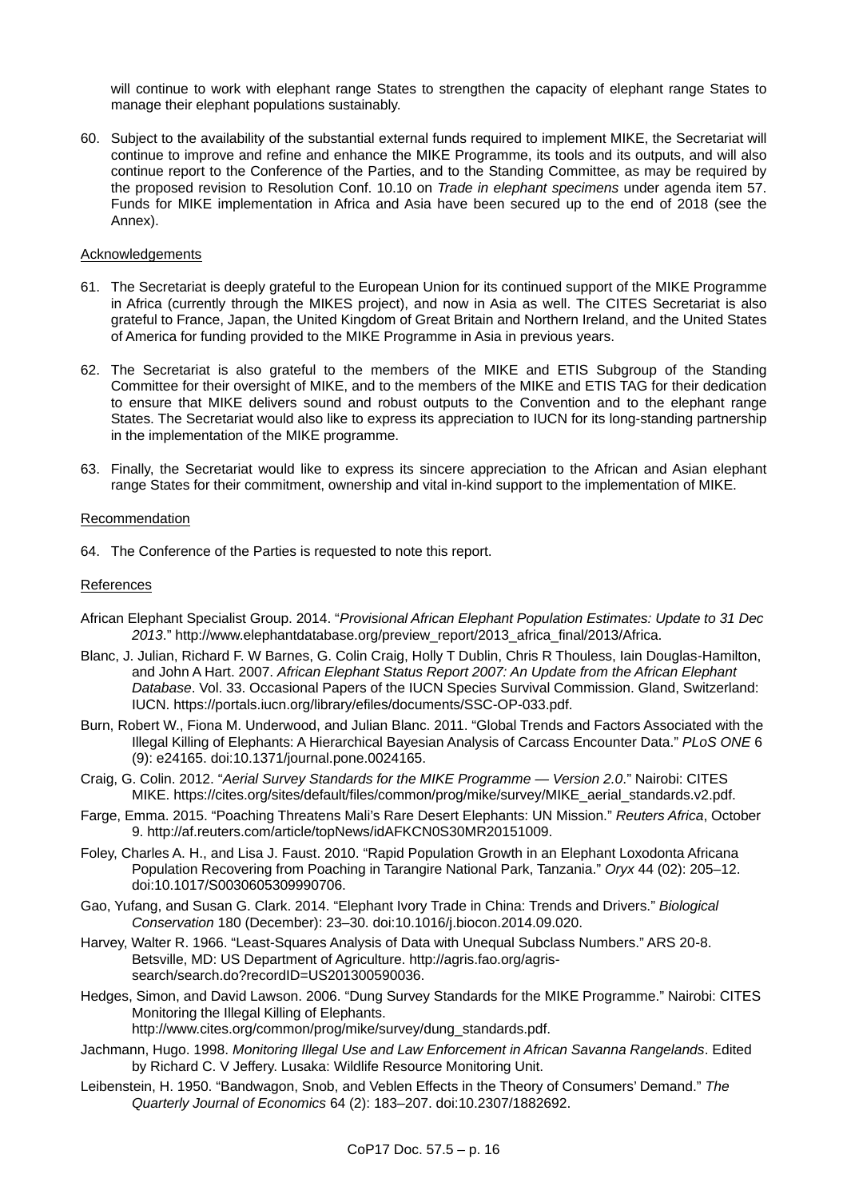will continue to work with elephant range States to strengthen the capacity of elephant range States to manage their elephant populations sustainably.

60. Subject to the availability of the substantial external funds required to implement MIKE, the Secretariat will continue to improve and refine and enhance the MIKE Programme, its tools and its outputs, and will also continue report to the Conference of the Parties, and to the Standing Committee, as may be required by the proposed revision to Resolution Conf. 10.10 on *Trade in elephant specimens* under agenda item 57. Funds for MIKE implementation in Africa and Asia have been secured up to the end of 2018 (see the Annex).

### Acknowledgements

- 61. The Secretariat is deeply grateful to the European Union for its continued support of the MIKE Programme in Africa (currently through the MIKES project), and now in Asia as well. The CITES Secretariat is also grateful to France, Japan, the United Kingdom of Great Britain and Northern Ireland, and the United States of America for funding provided to the MIKE Programme in Asia in previous years.
- 62. The Secretariat is also grateful to the members of the MIKE and ETIS Subgroup of the Standing Committee for their oversight of MIKE, and to the members of the MIKE and ETIS TAG for their dedication to ensure that MIKE delivers sound and robust outputs to the Convention and to the elephant range States. The Secretariat would also like to express its appreciation to IUCN for its long-standing partnership in the implementation of the MIKE programme.
- 63. Finally, the Secretariat would like to express its sincere appreciation to the African and Asian elephant range States for their commitment, ownership and vital in-kind support to the implementation of MIKE.

# Recommendation

64. The Conference of the Parties is requested to note this report.

# References

- African Elephant Specialist Group. 2014. "*Provisional African Elephant Population Estimates: Update to 31 Dec 2013*." http://www.elephantdatabase.org/preview\_report/2013\_africa\_final/2013/Africa.
- Blanc, J. Julian, Richard F. W Barnes, G. Colin Craig, Holly T Dublin, Chris R Thouless, Iain Douglas-Hamilton, and John A Hart. 2007. *African Elephant Status Report 2007: An Update from the African Elephant Database*. Vol. 33. Occasional Papers of the IUCN Species Survival Commission. Gland, Switzerland: IUCN. https://portals.iucn.org/library/efiles/documents/SSC-OP-033.pdf.
- Burn, Robert W., Fiona M. Underwood, and Julian Blanc. 2011. "Global Trends and Factors Associated with the Illegal Killing of Elephants: A Hierarchical Bayesian Analysis of Carcass Encounter Data." *PLoS ONE* 6 (9): e24165. doi:10.1371/journal.pone.0024165.
- Craig, G. Colin. 2012. "*Aerial Survey Standards for the MIKE Programme — Version 2.0*." Nairobi: CITES MIKE. https://cites.org/sites/default/files/common/prog/mike/survey/MIKE\_aerial\_standards.v2.pdf.
- Farge, Emma. 2015. "Poaching Threatens Mali's Rare Desert Elephants: UN Mission." *Reuters Africa*, October 9. http://af.reuters.com/article/topNews/idAFKCN0S30MR20151009.
- Foley, Charles A. H., and Lisa J. Faust. 2010. "Rapid Population Growth in an Elephant Loxodonta Africana Population Recovering from Poaching in Tarangire National Park, Tanzania." *Oryx* 44 (02): 205–12. doi:10.1017/S0030605309990706.
- Gao, Yufang, and Susan G. Clark. 2014. "Elephant Ivory Trade in China: Trends and Drivers." *Biological Conservation* 180 (December): 23–30. doi:10.1016/j.biocon.2014.09.020.
- Harvey, Walter R. 1966. "Least-Squares Analysis of Data with Unequal Subclass Numbers." ARS 20-8. Betsville, MD: US Department of Agriculture. http://agris.fao.org/agrissearch/search.do?recordID=US201300590036.
- Hedges, Simon, and David Lawson. 2006. "Dung Survey Standards for the MIKE Programme." Nairobi: CITES Monitoring the Illegal Killing of Elephants.

http://www.cites.org/common/prog/mike/survey/dung\_standards.pdf.

- Jachmann, Hugo. 1998. *Monitoring Illegal Use and Law Enforcement in African Savanna Rangelands*. Edited by Richard C. V Jeffery. Lusaka: Wildlife Resource Monitoring Unit.
- Leibenstein, H. 1950. "Bandwagon, Snob, and Veblen Effects in the Theory of Consumers' Demand." *The Quarterly Journal of Economics* 64 (2): 183–207. doi:10.2307/1882692.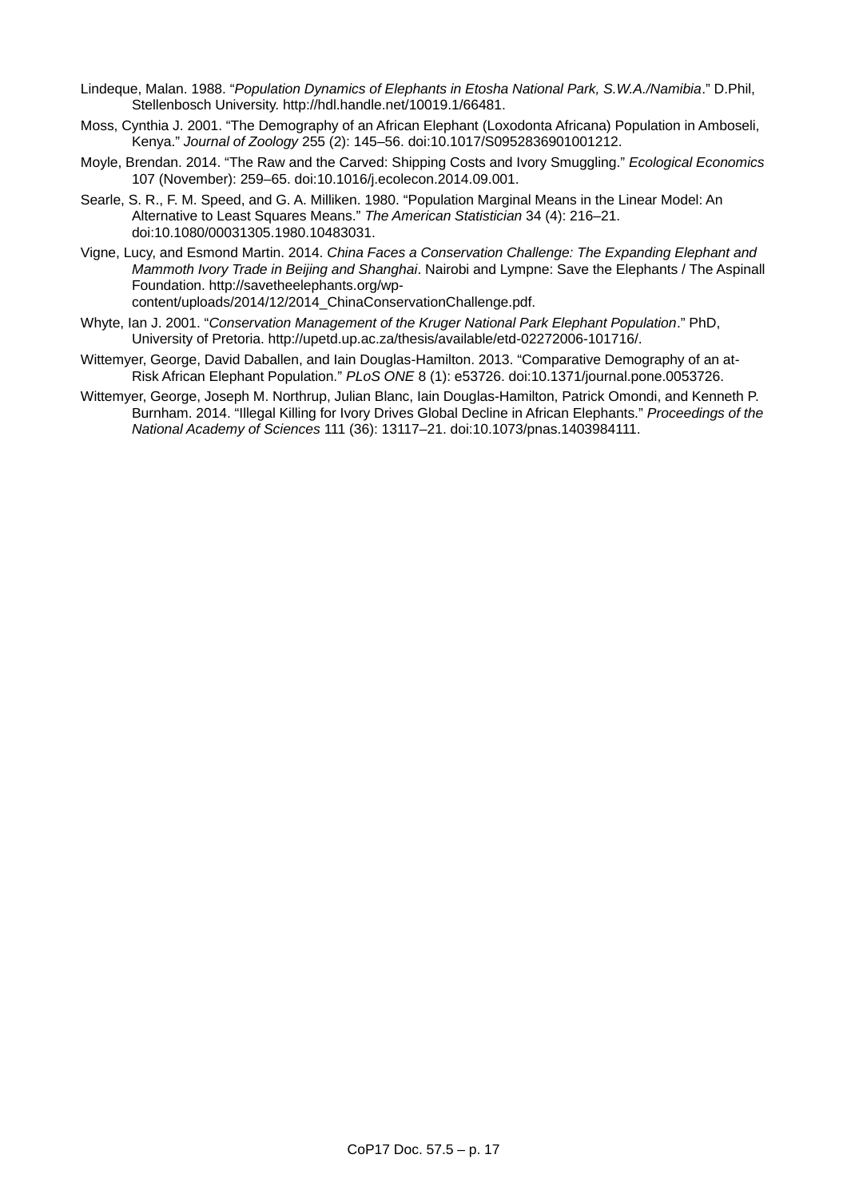- Lindeque, Malan. 1988. "*Population Dynamics of Elephants in Etosha National Park, S.W.A./Namibia*." D.Phil, Stellenbosch University. http://hdl.handle.net/10019.1/66481.
- Moss, Cynthia J. 2001. "The Demography of an African Elephant (Loxodonta Africana) Population in Amboseli, Kenya." *Journal of Zoology* 255 (2): 145–56. doi:10.1017/S0952836901001212.
- Moyle, Brendan. 2014. "The Raw and the Carved: Shipping Costs and Ivory Smuggling." *Ecological Economics* 107 (November): 259–65. doi:10.1016/j.ecolecon.2014.09.001.
- Searle, S. R., F. M. Speed, and G. A. Milliken. 1980. "Population Marginal Means in the Linear Model: An Alternative to Least Squares Means." *The American Statistician* 34 (4): 216–21. doi:10.1080/00031305.1980.10483031.
- Vigne, Lucy, and Esmond Martin. 2014. *China Faces a Conservation Challenge: The Expanding Elephant and Mammoth Ivory Trade in Beijing and Shanghai*. Nairobi and Lympne: Save the Elephants / The Aspinall Foundation. http://savetheelephants.org/wp
	- content/uploads/2014/12/2014\_ChinaConservationChallenge.pdf.
- Whyte, Ian J. 2001. "*Conservation Management of the Kruger National Park Elephant Population*." PhD, University of Pretoria. http://upetd.up.ac.za/thesis/available/etd-02272006-101716/.
- Wittemyer, George, David Daballen, and Iain Douglas-Hamilton. 2013. "Comparative Demography of an at-Risk African Elephant Population." *PLoS ONE* 8 (1): e53726. doi:10.1371/journal.pone.0053726.
- Wittemyer, George, Joseph M. Northrup, Julian Blanc, Iain Douglas-Hamilton, Patrick Omondi, and Kenneth P. Burnham. 2014. "Illegal Killing for Ivory Drives Global Decline in African Elephants." *Proceedings of the National Academy of Sciences* 111 (36): 13117–21. doi:10.1073/pnas.1403984111.